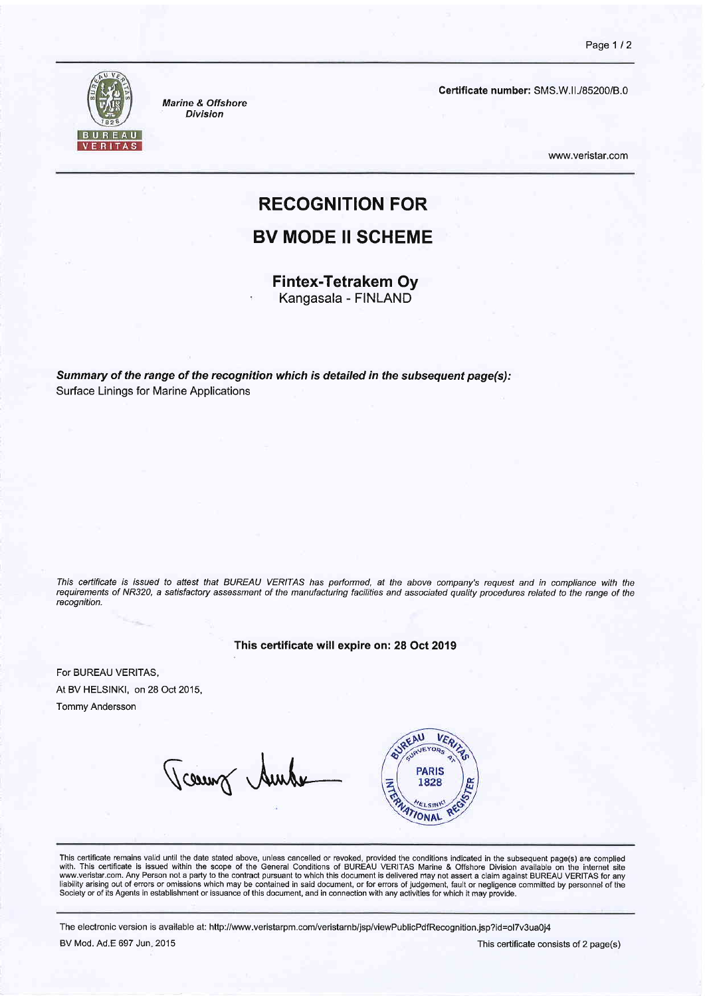

Marine & Offshore Division

Certificate number: SMS.W.II./85200/B.0

www.veristar.com

# RECOGNITION FOR

### BV MODE II SCHEME

Fintex-Tetrakem Oy Kangasala - FINLAND

Summary of the range of the recognition which is detailed in the subsequent page(s): Surface Linings for Marine Applications

This ceftificate is issued to attest that BUREAU VER/IAS has performed, at the above company's request and in compliance with the requirements of NR320, a satisfactory assessrnent of the manufacturing facilities and associated quality procedures related to the range of the recognition.

This certificate will expire on: 28 Oct 2019

For BUREAU VERITAS, At BV HELSINKI, on 28 Oct 2015, Tommy Andersson

Vcaunt Auch



This certificate remains valid until the date stated above, unless cancelled or revoked, provided the conditions indicated in the subsequent page(s) are complied<br>with. This certificate is issued within the scope of the Gen www.veristar.com. Any Person not a party to the contract pursuant to which this document is delivered may not assert a claim against BUREAU VERITAS for any liability arising out of errors or omissions which may be contained in said document, or for errors of judgement, fault or negligence committed by personnel of the<br>Society or of its Agents in establishment or issuance of t

The electronic version is available at: http://www.veristarpm.com/veristarnb/jsp/viewPublicPdfRecognition.jsp?id=ol7v3ua0j4